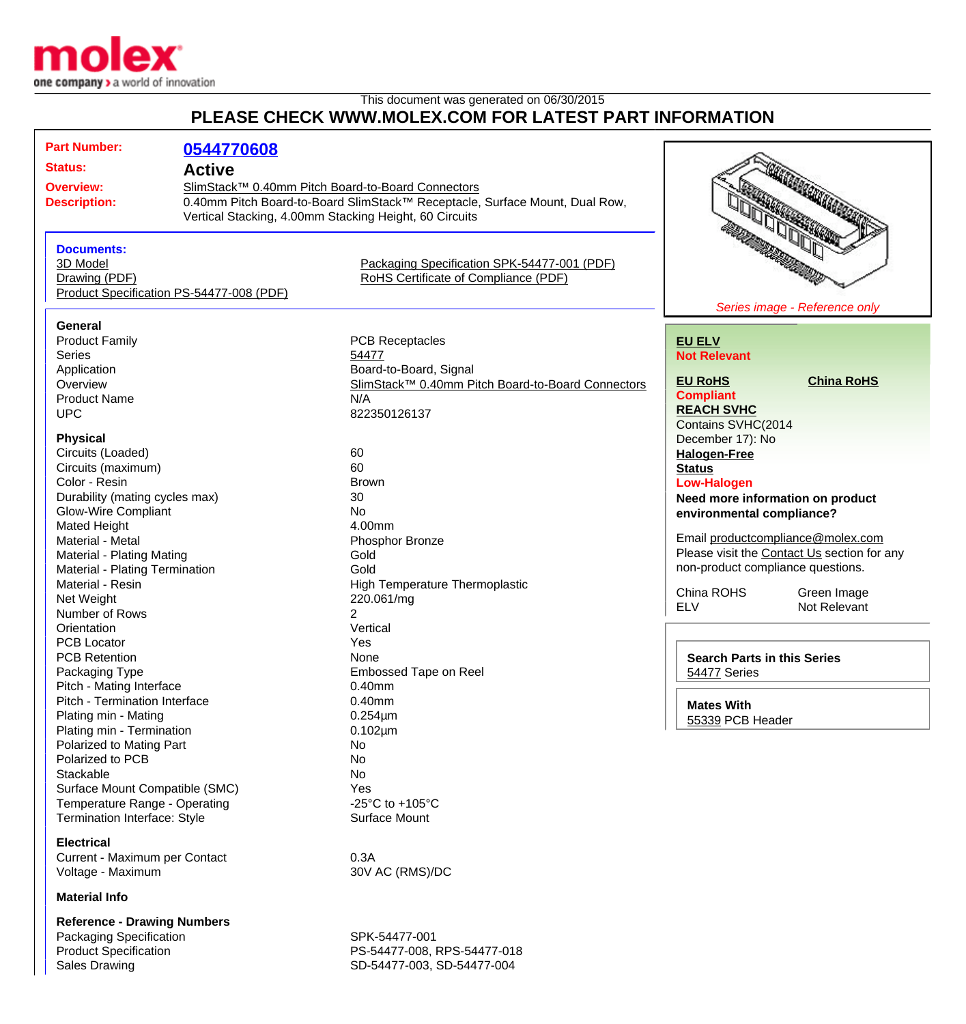

## This document was generated on 06/30/2015 **PLEASE CHECK WWW.MOLEX.COM FOR LATEST PART INFORMATION**

| <b>Part Number:</b>                                                                                                                                          | 0544770608                                                                                                                                                                                                  |                                                                                                                                       |                                                                                                                                                    |                                  |
|--------------------------------------------------------------------------------------------------------------------------------------------------------------|-------------------------------------------------------------------------------------------------------------------------------------------------------------------------------------------------------------|---------------------------------------------------------------------------------------------------------------------------------------|----------------------------------------------------------------------------------------------------------------------------------------------------|----------------------------------|
| <b>Status:</b>                                                                                                                                               | <b>Active</b><br>SlimStack™ 0.40mm Pitch Board-to-Board Connectors<br>0.40mm Pitch Board-to-Board SlimStack™ Receptacle, Surface Mount, Dual Row,<br>Vertical Stacking, 4.00mm Stacking Height, 60 Circuits |                                                                                                                                       |                                                                                                                                                    |                                  |
| <b>Overview:</b><br><b>Description:</b>                                                                                                                      |                                                                                                                                                                                                             |                                                                                                                                       | <b>SEARCH CONTRACTOR</b>                                                                                                                           |                                  |
| <b>Documents:</b><br>3D Model<br>Drawing (PDF)                                                                                                               | Product Specification PS-54477-008 (PDF)                                                                                                                                                                    | Packaging Specification SPK-54477-001 (PDF)<br>RoHS Certificate of Compliance (PDF)                                                   |                                                                                                                                                    | Series image - Reference only    |
| <b>General</b>                                                                                                                                               |                                                                                                                                                                                                             |                                                                                                                                       |                                                                                                                                                    |                                  |
| <b>Product Family</b><br><b>Series</b><br>Application<br>Overview<br><b>Product Name</b><br><b>UPC</b>                                                       |                                                                                                                                                                                                             | <b>PCB Receptacles</b><br>54477<br>Board-to-Board, Signal<br>SlimStack™ 0.40mm Pitch Board-to-Board Connectors<br>N/A<br>822350126137 | <b>EU ELV</b><br><b>Not Relevant</b><br><b>EU RoHS</b><br><b>Compliant</b><br><b>REACH SVHC</b>                                                    | <b>China RoHS</b>                |
| <b>Physical</b><br>Circuits (Loaded)<br>Circuits (maximum)<br>Color - Resin<br>Durability (mating cycles max)<br><b>Glow-Wire Compliant</b>                  |                                                                                                                                                                                                             | 60<br>60<br><b>Brown</b><br>30<br><b>No</b>                                                                                           | Contains SVHC(2014<br>December 17): No<br><b>Halogen-Free</b><br><b>Status</b><br><b>Low-Halogen</b><br>environmental compliance?                  | Need more information on product |
| Mated Height<br>Material - Metal<br>Material - Plating Mating<br>Material - Plating Termination<br>Material - Resin<br>Net Weight                            |                                                                                                                                                                                                             | 4.00mm<br>Phosphor Bronze<br>Gold<br>Gold<br>High Temperature Thermoplastic<br>220.061/mg                                             | Email productcompliance@molex.com<br>Please visit the Contact Us section for any<br>non-product compliance questions.<br>China ROHS<br>Green Image |                                  |
| Number of Rows                                                                                                                                               |                                                                                                                                                                                                             | 2                                                                                                                                     | <b>ELV</b>                                                                                                                                         | Not Relevant                     |
| Orientation<br><b>PCB Locator</b><br><b>PCB Retention</b><br>Packaging Type                                                                                  |                                                                                                                                                                                                             | Vertical<br>Yes<br>None<br><b>Embossed Tape on Reel</b>                                                                               | <b>Search Parts in this Series</b><br>54477 Series                                                                                                 |                                  |
| Pitch - Mating Interface<br>Pitch - Termination Interface<br>Plating min - Mating<br>Plating min - Termination                                               |                                                                                                                                                                                                             | $0.40$ mm<br>$0.40$ mm<br>$0.254 \mu m$<br>$0.102 \mu m$                                                                              | <b>Mates With</b><br>55339 PCB Header                                                                                                              |                                  |
| Polarized to Mating Part<br>Polarized to PCB<br>Stackable<br>Surface Mount Compatible (SMC)<br>Temperature Range - Operating<br>Termination Interface: Style |                                                                                                                                                                                                             | No.<br>No<br>No<br>Yes<br>-25 $^{\circ}$ C to +105 $^{\circ}$ C<br>Surface Mount                                                      |                                                                                                                                                    |                                  |
| <b>Electrical</b><br>Current - Maximum per Contact<br>Voltage - Maximum<br><b>Material Info</b>                                                              |                                                                                                                                                                                                             | 0.3A<br>30V AC (RMS)/DC                                                                                                               |                                                                                                                                                    |                                  |

**Reference - Drawing Numbers** Packaging Specification SPK-54477-001<br>Product Specification SPR-54477-008, I

PS-54477-008, RPS-54477-018 Sales Drawing **SD-54477-003, SD-54477-004**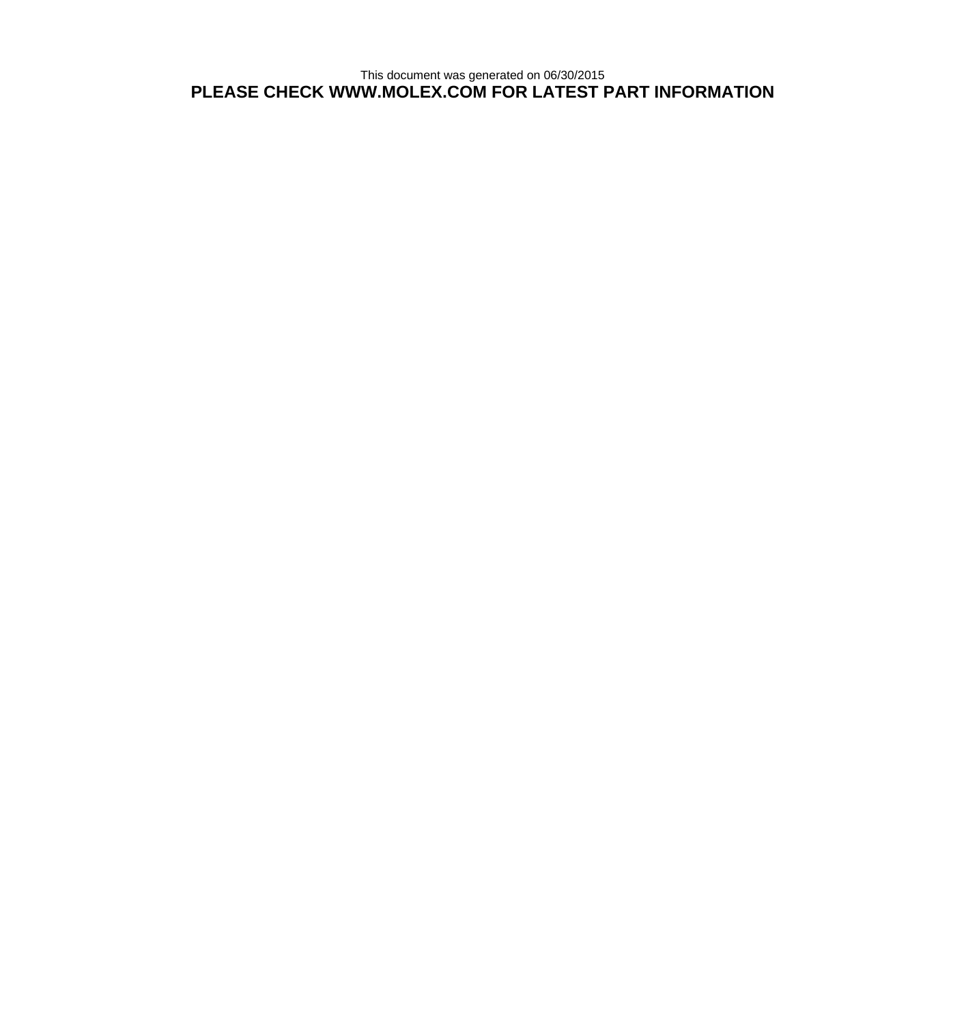This document was generated on 06/30/2015 **PLEASE CHECK WWW.MOLEX.COM FOR LATEST PART INFORMATION**